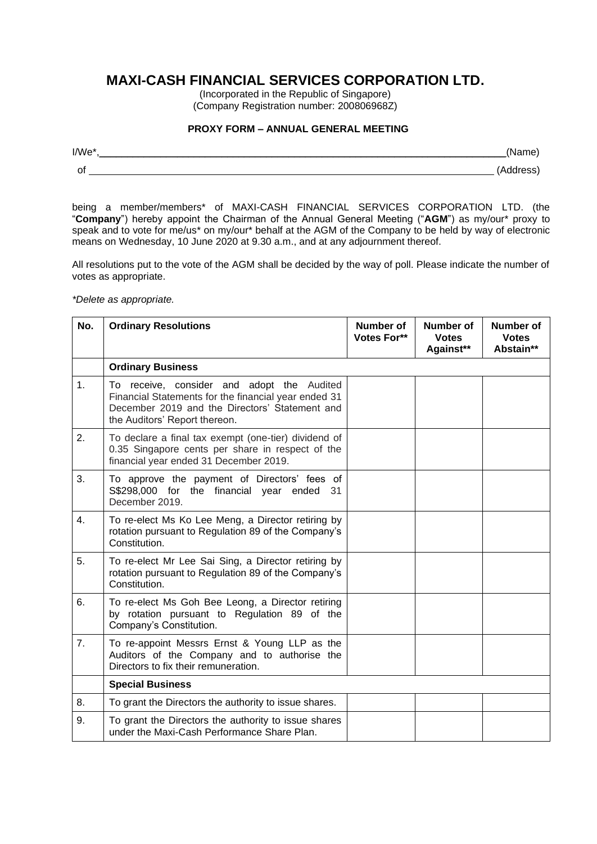## **MAXI-CASH FINANCIAL SERVICES CORPORATION LTD.**

(Incorporated in the Republic of Singapore) (Company Registration number: 200806968Z)

## **PROXY FORM – ANNUAL GENERAL MEETING**

| I/We |  |
|------|--|
| O1   |  |

being a member/members\* of MAXI-CASH FINANCIAL SERVICES CORPORATION LTD. (the "**Company**") hereby appoint the Chairman of the Annual General Meeting ("**AGM**") as my/our\* proxy to speak and to vote for me/us\* on my/our\* behalf at the AGM of the Company to be held by way of electronic means on Wednesday, 10 June 2020 at 9.30 a.m., and at any adjournment thereof.

All resolutions put to the vote of the AGM shall be decided by the way of poll. Please indicate the number of votes as appropriate.

*\*Delete as appropriate.* 

| No. | <b>Ordinary Resolutions</b>                                                                                                                                                           | Number of<br>Votes For** | Number of<br><b>Votes</b><br>Against** | <b>Number of</b><br><b>Votes</b><br>Abstain** |
|-----|---------------------------------------------------------------------------------------------------------------------------------------------------------------------------------------|--------------------------|----------------------------------------|-----------------------------------------------|
|     | <b>Ordinary Business</b>                                                                                                                                                              |                          |                                        |                                               |
| 1.  | To receive, consider and adopt the Audited<br>Financial Statements for the financial year ended 31<br>December 2019 and the Directors' Statement and<br>the Auditors' Report thereon. |                          |                                        |                                               |
| 2.  | To declare a final tax exempt (one-tier) dividend of<br>0.35 Singapore cents per share in respect of the<br>financial year ended 31 December 2019.                                    |                          |                                        |                                               |
| 3.  | To approve the payment of Directors' fees of<br>S\$298,000 for the financial year ended<br>31<br>December 2019.                                                                       |                          |                                        |                                               |
| 4.  | To re-elect Ms Ko Lee Meng, a Director retiring by<br>rotation pursuant to Regulation 89 of the Company's<br>Constitution.                                                            |                          |                                        |                                               |
| 5.  | To re-elect Mr Lee Sai Sing, a Director retiring by<br>rotation pursuant to Regulation 89 of the Company's<br>Constitution.                                                           |                          |                                        |                                               |
| 6.  | To re-elect Ms Goh Bee Leong, a Director retiring<br>by rotation pursuant to Regulation 89 of the<br>Company's Constitution.                                                          |                          |                                        |                                               |
| 7.  | To re-appoint Messrs Ernst & Young LLP as the<br>Auditors of the Company and to authorise the<br>Directors to fix their remuneration.                                                 |                          |                                        |                                               |
|     | <b>Special Business</b>                                                                                                                                                               |                          |                                        |                                               |
| 8.  | To grant the Directors the authority to issue shares.                                                                                                                                 |                          |                                        |                                               |
| 9.  | To grant the Directors the authority to issue shares<br>under the Maxi-Cash Performance Share Plan.                                                                                   |                          |                                        |                                               |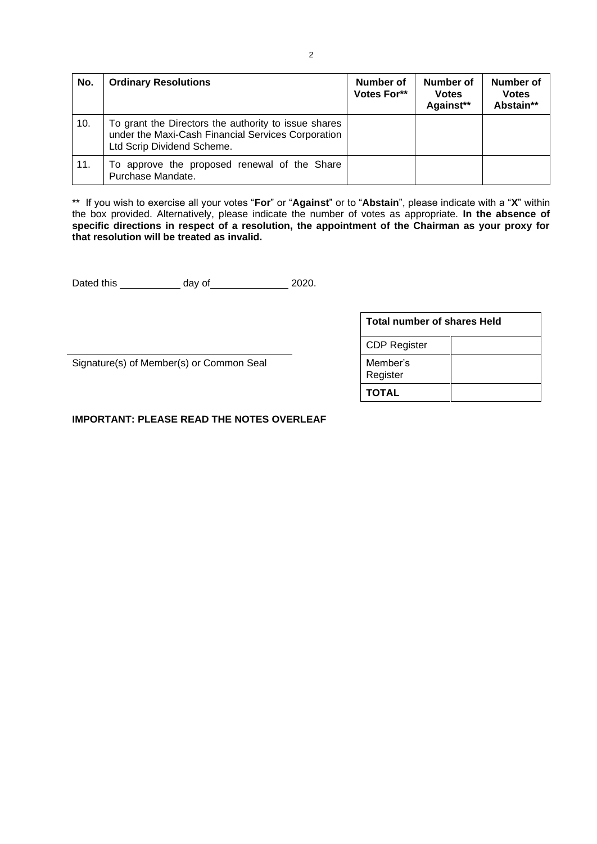| No. | <b>Ordinary Resolutions</b>                                                                                                              | <b>Number of</b><br>Votes For** | Number of<br><b>Votes</b><br>Against** | Number of<br><b>Votes</b><br>Abstain** |
|-----|------------------------------------------------------------------------------------------------------------------------------------------|---------------------------------|----------------------------------------|----------------------------------------|
| 10. | To grant the Directors the authority to issue shares<br>under the Maxi-Cash Financial Services Corporation<br>Ltd Scrip Dividend Scheme. |                                 |                                        |                                        |
| 11. | To approve the proposed renewal of the Share<br>Purchase Mandate.                                                                        |                                 |                                        |                                        |

\*\* If you wish to exercise all your votes "**For**" or "**Against**" or to "**Abstain**", please indicate with a "**X**" within the box provided. Alternatively, please indicate the number of votes as appropriate. **In the absence of specific directions in respect of a resolution, the appointment of the Chairman as your proxy for that resolution will be treated as invalid.**

Dated this  $\frac{1}{2020}$  day of  $\frac{2020}{200}$ .

Signature(s) of Member(s) or Common Seal

| Total number of shares Held |  |  |
|-----------------------------|--|--|
| <b>CDP Register</b>         |  |  |
| Member's<br>Register        |  |  |
| <b>TOTAL</b>                |  |  |

**IMPORTANT: PLEASE READ THE NOTES OVERLEAF**